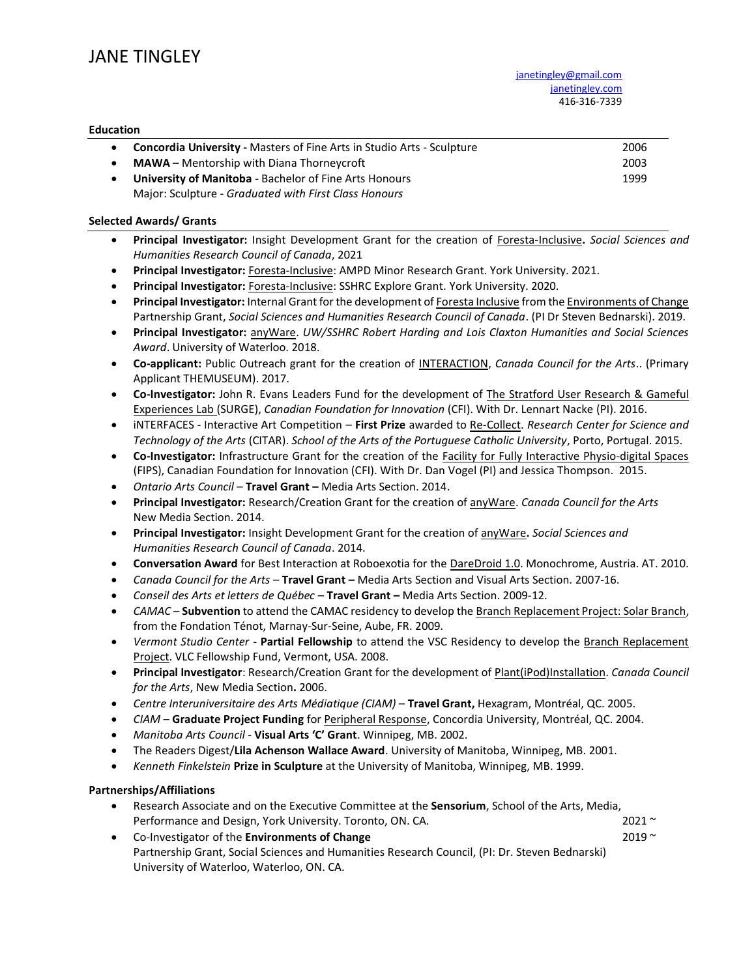#### **Education**

| <b>Concordia University - Masters of Fine Arts in Studio Arts - Sculpture</b> | 2006 |
|-------------------------------------------------------------------------------|------|
| <b>MAWA</b> – Mentorship with Diana Thorneycroft                              | 2003 |
| <b>University of Manitoba</b> - Bachelor of Fine Arts Honours                 | 1999 |
| Major: Sculpture - Graduated with First Class Honours                         |      |

#### **Selected Awards/ Grants**

- **Principal Investigator:** Insight Development Grant for the creation of Foresta-Inclusive**.** *Social Sciences and Humanities Research Council of Canada*, 2021
- **Principal Investigator:** Foresta-Inclusive: AMPD Minor Research Grant. York University. 2021.
- **Principal Investigator:** Foresta-Inclusive: SSHRC Explore Grant. York University. 2020.
- **Principal Investigator:** Internal Grant for the development of Foresta Inclusive from the Environments of Change Partnership Grant, *Social Sciences and Humanities Research Council of Canada*. (PI Dr Steven Bednarski). 2019.
- **Principal Investigator:** anyWare. *UW/SSHRC Robert Harding and Lois Claxton Humanities and Social Sciences Award*. University of Waterloo. 2018.
- **Co-applicant:** Public Outreach grant for the creation of INTERACTION, *Canada Council for the Arts*.. (Primary Applicant THEMUSEUM). 2017.
- **Co-Investigator:** John R. Evans Leaders Fund for the development of The Stratford User Research & Gameful Experiences Lab (SURGE), *Canadian Foundation for Innovation* (CFI). With Dr. Lennart Nacke (PI). 2016.
- iNTERFACES Interactive Art Competition **First Prize** awarded to Re-Collect. *Research Center for Science and Technology of the Arts* (CITAR). *School of the Arts of the Portuguese Catholic University*, Porto, Portugal. 2015.
- **Co-Investigator:** Infrastructure Grant for the creation of the Facility for Fully Interactive Physio-digital Spaces (FIPS), Canadian Foundation for Innovation (CFI). With Dr. Dan Vogel (PI) and Jessica Thompson. 2015.
- *Ontario Arts Council* **Travel Grant –** Media Arts Section. 2014.
- **Principal Investigator:** Research/Creation Grant for the creation of anyWare. *Canada Council for the Arts* New Media Section. 2014.
- **Principal Investigator:** Insight Development Grant for the creation of anyWare**.** *Social Sciences and Humanities Research Council of Canada*. 2014.
- **Conversation Award** for Best Interaction at Roboexotia for the DareDroid 1.0. Monochrome, Austria. AT. 2010.
- *Canada Council for the Arts* Travel Grant Media Arts Section and Visual Arts Section. 2007-16.
- *Conseil des Arts et letters de Québec* **Travel Grant –** Media Arts Section. 2009-12.
- *CAMAC* **Subvention** to attend the CAMAC residency to develop the Branch Replacement Project: Solar Branch, from the Fondation Ténot, Marnay-Sur-Seine, Aube, FR. 2009.
- *Vermont Studio Center* **Partial Fellowship** to attend the VSC Residency to develop the Branch Replacement Project. VLC Fellowship Fund, Vermont, USA. 2008.
- **Principal Investigator**: Research/Creation Grant for the development of Plant(iPod)Installation. *Canada Council for the Arts*, New Media Section**.** 2006.
- *Centre Interuniversitaire des Arts Médiatique (CIAM)* **Travel Grant,** Hexagram, Montréal, QC. 2005.
- *CIAM*  **Graduate Project Funding** for Peripheral Response, Concordia University, Montréal, QC. 2004.
- *Manitoba Arts Council* **Visual Arts 'C' Grant**. Winnipeg, MB. 2002.
- The Readers Digest/**Lila Achenson Wallace Award**. University of Manitoba, Winnipeg, MB. 2001.
- *Kenneth Finkelstein* **Prize in Sculpture** at the University of Manitoba, Winnipeg, MB. 1999.

## **Partnerships/Affiliations**

- Research Associate and on the Executive Committee at the **Sensorium**, School of the Arts, Media, Performance and Design, York University. Toronto, ON. CA. 2021 ~ 2021 ~ 2021 ~
- Co-Investigator of the **Environments of Change** 2019 ~ Partnership Grant, Social Sciences and Humanities Research Council, (PI: Dr. Steven Bednarski) University of Waterloo, Waterloo, ON. CA.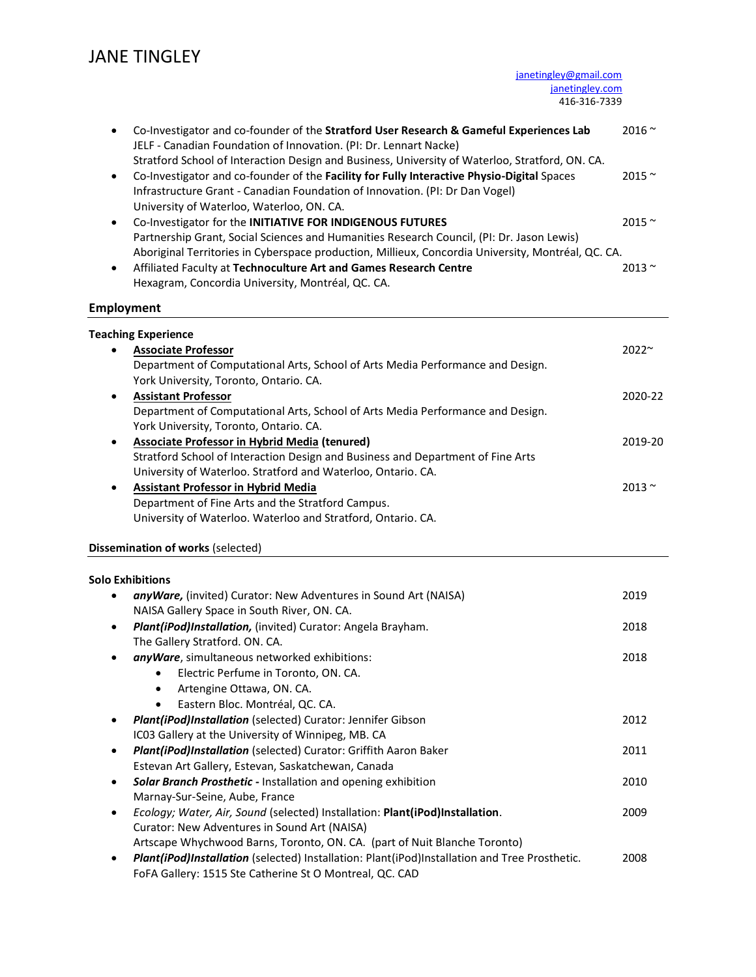[janetingley@gmail.com](mailto:janetingley@gmail.com) [janetingley.com](http://janetingley.com/) 416-316-7339

| Co-Investigator and co-founder of the Stratford User Research & Gameful Experiences Lab<br>$\bullet$<br>JELF - Canadian Foundation of Innovation. (PI: Dr. Lennart Nacke)                                                                                                                                                               | 2016 $\sim$    |
|-----------------------------------------------------------------------------------------------------------------------------------------------------------------------------------------------------------------------------------------------------------------------------------------------------------------------------------------|----------------|
| Stratford School of Interaction Design and Business, University of Waterloo, Stratford, ON. CA.<br>Co-Investigator and co-founder of the Facility for Fully Interactive Physio-Digital Spaces<br>$\bullet$<br>Infrastructure Grant - Canadian Foundation of Innovation. (PI: Dr Dan Vogel)<br>University of Waterloo, Waterloo, ON. CA. | $2015$ $\sim$  |
| Co-Investigator for the INITIATIVE FOR INDIGENOUS FUTURES<br>$\bullet$                                                                                                                                                                                                                                                                  | 2015~          |
| Partnership Grant, Social Sciences and Humanities Research Council, (PI: Dr. Jason Lewis)                                                                                                                                                                                                                                               |                |
| Aboriginal Territories in Cyberspace production, Millieux, Concordia University, Montréal, QC. CA.                                                                                                                                                                                                                                      |                |
| Affiliated Faculty at Technoculture Art and Games Research Centre<br>$\bullet$                                                                                                                                                                                                                                                          | $2013 \approx$ |
| Hexagram, Concordia University, Montréal, QC. CA.                                                                                                                                                                                                                                                                                       |                |
| <b>Employment</b>                                                                                                                                                                                                                                                                                                                       |                |
|                                                                                                                                                                                                                                                                                                                                         |                |
| <b>Teaching Experience</b>                                                                                                                                                                                                                                                                                                              |                |
| <b>Associate Professor</b><br>$\bullet$                                                                                                                                                                                                                                                                                                 | 2022~          |
| Department of Computational Arts, School of Arts Media Performance and Design.                                                                                                                                                                                                                                                          |                |
| York University, Toronto, Ontario. CA.                                                                                                                                                                                                                                                                                                  |                |
| <b>Assistant Professor</b><br>$\bullet$                                                                                                                                                                                                                                                                                                 | 2020-22        |
| Department of Computational Arts, School of Arts Media Performance and Design.                                                                                                                                                                                                                                                          |                |
| York University, Toronto, Ontario. CA.                                                                                                                                                                                                                                                                                                  |                |
| <b>Associate Professor in Hybrid Media (tenured)</b><br>$\bullet$                                                                                                                                                                                                                                                                       | 2019-20        |
| Stratford School of Interaction Design and Business and Department of Fine Arts                                                                                                                                                                                                                                                         |                |
| University of Waterloo. Stratford and Waterloo, Ontario. CA.                                                                                                                                                                                                                                                                            |                |
| <b>Assistant Professor in Hybrid Media</b><br>$\bullet$                                                                                                                                                                                                                                                                                 | 2013 $\sim$    |
| Department of Fine Arts and the Stratford Campus.                                                                                                                                                                                                                                                                                       |                |
| University of Waterloo. Waterloo and Stratford, Ontario. CA.                                                                                                                                                                                                                                                                            |                |
| Dissemination of works (selected)                                                                                                                                                                                                                                                                                                       |                |
|                                                                                                                                                                                                                                                                                                                                         |                |
| <b>Solo Exhibitions</b>                                                                                                                                                                                                                                                                                                                 |                |
| anyWare, (invited) Curator: New Adventures in Sound Art (NAISA)<br>$\bullet$                                                                                                                                                                                                                                                            | 2019           |
| NAISA Gallery Space in South River, ON. CA.                                                                                                                                                                                                                                                                                             |                |
| Plant(iPod)Installation, (invited) Curator: Angela Brayham.<br>$\bullet$                                                                                                                                                                                                                                                                | 2018           |
| The Gallery Stratford. ON. CA.                                                                                                                                                                                                                                                                                                          | 2018           |
| anyWare, simultaneous networked exhibitions:<br>٠<br>Electric Perfume in Toronto, ON. CA.                                                                                                                                                                                                                                               |                |
| Artengine Ottawa, ON. CA.<br>٠                                                                                                                                                                                                                                                                                                          |                |
| Eastern Bloc. Montréal, QC. CA.<br>$\bullet$                                                                                                                                                                                                                                                                                            |                |
| Plant(iPod)Installation (selected) Curator: Jennifer Gibson<br>٠                                                                                                                                                                                                                                                                        | 2012           |
| IC03 Gallery at the University of Winnipeg, MB. CA                                                                                                                                                                                                                                                                                      |                |
| Plant(iPod)Installation (selected) Curator: Griffith Aaron Baker<br>$\bullet$                                                                                                                                                                                                                                                           | 2011           |
| Estevan Art Gallery, Estevan, Saskatchewan, Canada                                                                                                                                                                                                                                                                                      |                |
| Solar Branch Prosthetic - Installation and opening exhibition<br>$\bullet$                                                                                                                                                                                                                                                              | 2010           |
| Marnay-Sur-Seine, Aube, France                                                                                                                                                                                                                                                                                                          |                |
| Ecology; Water, Air, Sound (selected) Installation: Plant(iPod)Installation.<br>٠                                                                                                                                                                                                                                                       |                |
|                                                                                                                                                                                                                                                                                                                                         |                |
|                                                                                                                                                                                                                                                                                                                                         | 2009           |
| Curator: New Adventures in Sound Art (NAISA)                                                                                                                                                                                                                                                                                            |                |
| Artscape Whychwood Barns, Toronto, ON. CA. (part of Nuit Blanche Toronto)<br>Plant(iPod)Installation (selected) Installation: Plant(iPod)Installation and Tree Prosthetic.<br>$\bullet$                                                                                                                                                 | 2008           |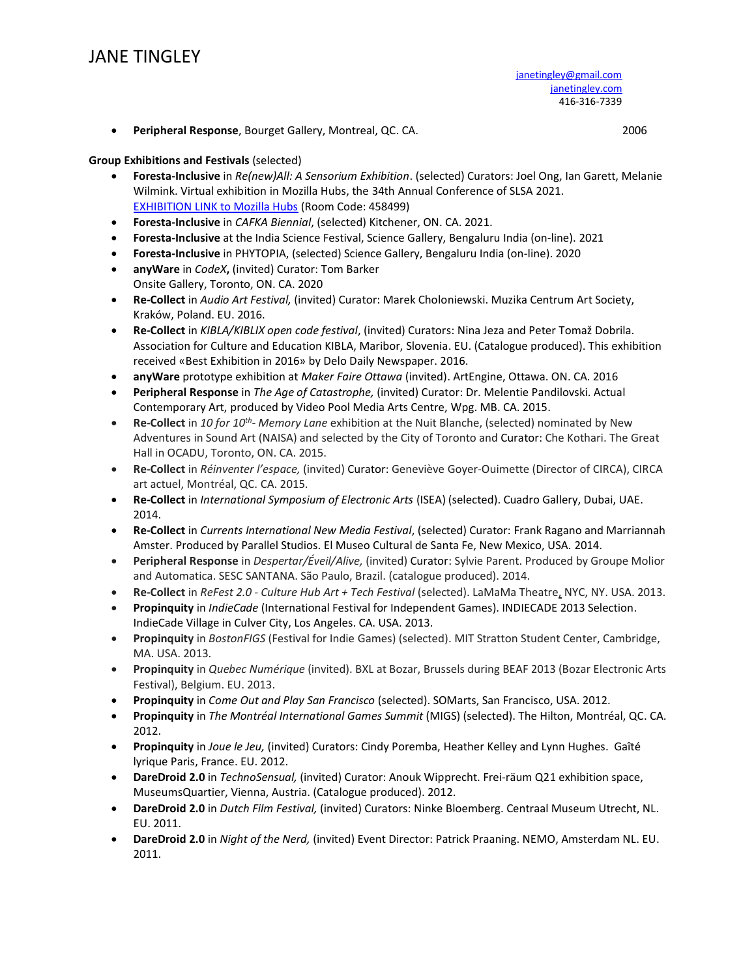• **Peripheral Response**, Bourget Gallery, Montreal, QC. CA. 2006

## **Group Exhibitions and Festivals** (selected)

- **Foresta-Inclusive** in *Re(new)All: A Sensorium Exhibition*. (selected) Curators: Joel Ong, Ian Garett, Melanie Wilmink. Virtual exhibition in Mozilla Hubs, the 34th Annual Conference of SLSA 2021. [EXHIBITION LINK to Mozilla Hubs](https://hubs.mozilla.com/TM9Ue3r/re-new-all-main-space) (Room Code: 458499)
- **Foresta-Inclusive** in *CAFKA Biennial*, (selected) Kitchener, ON. CA. 2021.
- **Foresta-Inclusive** at the India Science Festival, Science Gallery, Bengaluru India (on-line). 2021
- **Foresta-Inclusive** in PHYTOPIA, (selected) Science Gallery, Bengaluru India (on-line). 2020
- **anyWare** in *CodeX***,** (invited) Curator: Tom Barker Onsite Gallery, Toronto, ON. CA. 2020
- **Re-Collect** in *Audio Art Festival,* (invited) Curator: Marek Choloniewski. Muzika Centrum Art Society, Kraków, Poland. EU. 2016.
- **Re-Collect** in *KIBLA/KIBLIX open code festival*, (invited) Curators: Nina Jeza and Peter Tomaž Dobrila. Association for Culture and Education KIBLA, Maribor, Slovenia. EU. (Catalogue produced). This exhibition received «Best Exhibition in 2016» by Delo Daily Newspaper. 2016.
- **anyWare** prototype exhibition at *Maker Faire Ottawa* (invited). ArtEngine, Ottawa. ON. CA. 2016
- **Peripheral Response** in *The Age of Catastrophe,* (invited) Curator: Dr. Melentie Pandilovski. Actual Contemporary Art, produced by Video Pool Media Arts Centre, Wpg. MB. CA. 2015.
- **Re-Collect** in *10 for 10th - Memory Lane* exhibition at the Nuit Blanche, (selected) nominated by New Adventures in Sound Art (NAISA) and selected by the City of Toronto and Curator: Che Kothari. The Great Hall in OCADU, Toronto, ON. CA. 2015.
- **Re-Collect** in *Réinventer l'espace,* (invited) Curator: Geneviève Goyer-Ouimette (Director of CIRCA), CIRCA art actuel, Montréal, QC. CA. 2015.
- **Re-Collect** in *International Symposium of Electronic Arts* (ISEA) (selected). Cuadro Gallery, Dubai, UAE. 2014.
- **Re-Collect** in *Currents International New Media Festival*, (selected) Curator: Frank Ragano and Marriannah Amster. Produced by Parallel Studios. El Museo Cultural de Santa Fe, New Mexico, USA. 2014.
- **Peripheral Response** in *Despertar/Éveil/Alive,* (invited) Curator: Sylvie Parent. Produced by Groupe Molior and Automatica. SESC SANTANA. São Paulo, Brazil. (catalogue produced). 2014.
- **Re-Collect** in *ReFest 2.0 - Culture Hub Art + Tech Festival* (selected). LaMaMa Theatre, NYC, NY. USA. 2013.
- **Propinquity** in *IndieCade* (International Festival for Independent Games). INDIECADE 2013 Selection. IndieCade Village in Culver City, Los Angeles. CA. USA. 2013.
- **Propinquity** in *BostonFIGS* (Festival for Indie Games) (selected). MIT Stratton Student Center, Cambridge, MA. USA. 2013.
- **Propinquity** in *Quebec Numérique* (invited). BXL at Bozar, Brussels during BEAF 2013 (Bozar Electronic Arts Festival), Belgium. EU. 2013.
- **Propinquity** in *Come Out and Play San Francisco* (selected). SOMarts, San Francisco, USA. 2012.
- **Propinquity** in *The Montréal International Games Summit* (MIGS) (selected). The Hilton, Montréal, QC. CA. 2012.
- **Propinquity** in *Joue le Jeu,* (invited) Curators: Cindy Poremba, Heather Kelley and Lynn Hughes. Gaîté lyrique Paris, France. EU. 2012.
- **DareDroid 2.0** in *TechnoSensual,* (invited) Curator: Anouk Wipprecht. Frei-räum Q21 exhibition space, MuseumsQuartier, Vienna, Austria. (Catalogue produced). 2012.
- **DareDroid 2.0** in *Dutch Film Festival,* (invited) Curators: Ninke Bloemberg. Centraal Museum Utrecht, NL. EU. 2011.
- **DareDroid 2.0** in *Night of the Nerd,* (invited) Event Director: Patrick Praaning. NEMO, Amsterdam NL. EU. 2011.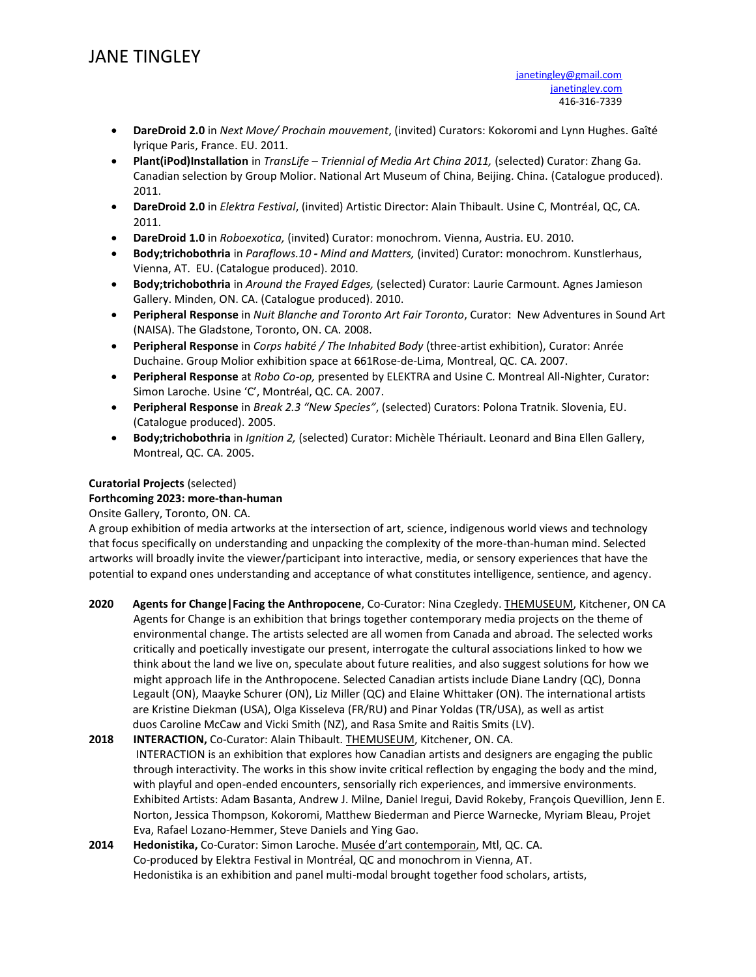- **DareDroid 2.0** in *Next Move/ Prochain mouvement*, (invited) Curators: Kokoromi and Lynn Hughes. Gaîté lyrique Paris, France. EU. 2011.
- **Plant(iPod)Installation** in *TransLife – Triennial of Media Art China 2011,* (selected) Curator: Zhang Ga. Canadian selection by Group Molior. National Art Museum of China, Beijing. China. (Catalogue produced). 2011.
- **DareDroid 2.0** in *Elektra Festival*, (invited) Artistic Director: Alain Thibault. Usine C, Montréal, QC, CA. 2011.
- **DareDroid 1.0** in *Roboexotica,* (invited) Curator: monochrom. Vienna, Austria. EU. 2010.
- **Body;trichobothria** in *Paraflows.10 - Mind and Matters,* (invited) Curator: monochrom. Kunstlerhaus, Vienna, AT. EU. (Catalogue produced). 2010.
- **Body;trichobothria** in *Around the Frayed Edges,* (selected) Curator: Laurie Carmount. Agnes Jamieson Gallery. Minden, ON. CA. (Catalogue produced). 2010.
- **Peripheral Response** in *Nuit Blanche and Toronto Art Fair Toronto*, Curator: New Adventures in Sound Art (NAISA). The Gladstone, Toronto, ON. CA. 2008.
- **Peripheral Response** in *Corps habité / The Inhabited Body* (three-artist exhibition), Curator: Anrée Duchaine. Group Molior exhibition space at 661Rose-de-Lima, Montreal, QC. CA. 2007.
- **Peripheral Response** at *Robo Co-op,* presented by ELEKTRA and Usine C. Montreal All-Nighter, Curator: Simon Laroche. Usine 'C', Montréal, QC. CA. 2007.
- **Peripheral Response** in *Break 2.3 "New Species"*, (selected) Curators: Polona Tratnik. Slovenia, EU. (Catalogue produced). 2005.
- **Body;trichobothria** in *Ignition 2,* (selected) Curator: Michèle Thériault. Leonard and Bina Ellen Gallery, Montreal, QC. CA. 2005.

## **Curatorial Projects** (selected)

## **Forthcoming 2023: more-than-human**

## Onsite Gallery, Toronto, ON. CA.

A group exhibition of media artworks at the intersection of art, science, indigenous world views and technology that focus specifically on understanding and unpacking the complexity of the more-than-human mind. Selected artworks will broadly invite the viewer/participant into interactive, media, or sensory experiences that have the potential to expand ones understanding and acceptance of what constitutes intelligence, sentience, and agency.

**2020 Agents for Change|Facing the Anthropocene**, Co-Curator: Nina Czegledy. THEMUSEUM, Kitchener, ON CA Agents for Change is an exhibition that brings together contemporary media projects on the theme of environmental change. The artists selected are all women from Canada and abroad. The selected works critically and poetically investigate our present, interrogate the cultural associations linked to how we think about the land we live on, speculate about future realities, and also suggest solutions for how we might approach life in the Anthropocene. Selected Canadian artists include Diane Landry (QC), Donna Legault (ON), Maayke Schurer (ON), Liz Miller (QC) and Elaine Whittaker (ON). The international artists are Kristine Diekman (USA), Olga Kisseleva (FR/RU) and Pinar Yoldas (TR/USA), as well as artist duos Caroline McCaw and Vicki Smith (NZ), and Rasa Smite and Raitis Smits (LV).

**2018 INTERACTION,** Co-Curator: Alain Thibault. THEMUSEUM, Kitchener, ON. CA. INTERACTION is an exhibition that explores how Canadian artists and designers are engaging the public through interactivity. The works in this show invite critical reflection by engaging the body and the mind, with playful and open-ended encounters, sensorially rich experiences, and immersive environments. Exhibited Artists: Adam Basanta, Andrew J. Milne, Daniel Iregui, David Rokeby, François Quevillion, Jenn E. Norton, Jessica Thompson, Kokoromi, Matthew Biederman and [Pierce Warnecke,](http://piercewarnecke.com/) Myriam Bleau, Projet Eva, Rafael Lozano-Hemmer, Steve Daniels and Ying Gao.

**2014 Hedonistika,** Co-Curator: Simon Laroche. Musée d'art contemporain, Mtl, QC. CA. Co-produced by Elektra Festival in Montréal, QC and monochrom in Vienna, AT. Hedonistika is an exhibition and panel multi-modal brought together food scholars, artists,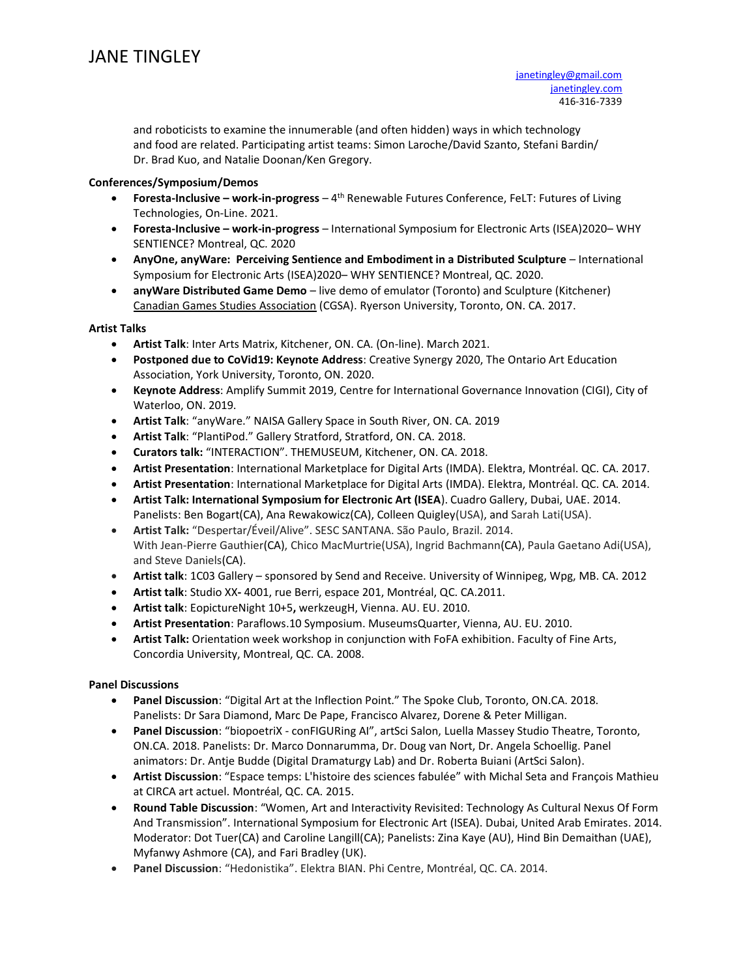and roboticists to examine the innumerable (and often hidden) ways in which technology and food are related. Participating artist teams: Simon Laroche/David Szanto, Stefani Bardin/ Dr. Brad Kuo, and Natalie Doonan/Ken Gregory.

#### **Conferences/Symposium/Demos**

- **Foresta-Inclusive – work-in-progress**  4 th Renewable Futures Conference, FeLT: Futures of Living Technologies, On-Line. 2021.
- **Foresta-Inclusive – work-in-progress**  International Symposium for Electronic Arts (ISEA)2020– WHY SENTIENCE? Montreal, QC. 2020
- **AnyOne, anyWare: Perceiving Sentience and Embodiment in a Distributed Sculpture** International Symposium for Electronic Arts (ISEA)2020– WHY SENTIENCE? Montreal, QC. 2020.
- **anyWare Distributed Game Demo** live demo of emulator (Toronto) and Sculpture (Kitchener) Canadian Games Studies Association (CGSA). Ryerson University, Toronto, ON. CA. 2017.

#### **Artist Talks**

- **Artist Talk**: Inter Arts Matrix, Kitchener, ON. CA. (On-line). March 2021.
- **Postponed due to CoVid19: Keynote Address**: Creative Synergy 2020, The Ontario Art Education Association, York University, Toronto, ON. 2020.
- **Keynote Address**: Amplify Summit 2019, Centre for International Governance Innovation (CIGI), City of Waterloo, ON. 2019.
- **Artist Talk**: "anyWare." NAISA Gallery Space in South River, ON. CA. 2019
- **Artist Talk**: "PlantiPod." Gallery Stratford, Stratford, ON. CA. 2018.
- **Curators talk:** "INTERACTION". THEMUSEUM, Kitchener, ON. CA. 2018.
- **Artist Presentation**: International Marketplace for Digital Arts (IMDA). Elektra, Montréal. QC. CA. 2017.
- **Artist Presentation**: International Marketplace for Digital Arts (IMDA). Elektra, Montréal. QC. CA. 2014.
- **Artist Talk: International Symposium for Electronic Art (ISEA**). Cuadro Gallery, Dubai, UAE. 2014. Panelists: Ben Bogart(CA), Ana Rewakowicz(CA), Colleen Quigley(USA), and Sarah Lati(USA).
- **Artist Talk:** "Despertar/Éveil/Alive". SESC SANTANA. São Paulo, Brazil. 2014. With Jean-Pierre Gauthier(CA), Chico MacMurtrie(USA), Ingrid Bachmann(CA), Paula Gaetano Adi(USA), and Steve Daniels(CA).
- **Artist talk**: 1C03 Gallery sponsored by Send and Receive. University of Winnipeg, Wpg, MB. CA. 2012
- **Artist talk**: Studio XX**-** 4001, rue Berri, espace 201, Montréal, QC. CA.2011.
- **Artist talk**: EopictureNight 10+5**,** werkzeugH, Vienna. AU. EU. 2010.
- **Artist Presentation**: Paraflows.10 Symposium. MuseumsQuarter, Vienna, AU. EU. 2010.
- **Artist Talk:** Orientation week workshop in conjunction with FoFA exhibition. Faculty of Fine Arts, Concordia University, Montreal, QC. CA. 2008.

## **Panel Discussions**

- **Panel Discussion**: "Digital Art at the Inflection Point." The Spoke Club, Toronto, ON.CA. 2018. Panelists: Dr Sara Diamond, Marc De Pape, Francisco Alvarez, Dorene & Peter Milligan.
- **Panel Discussion**: "biopoetriX conFIGURing AI", artSci Salon, Luella Massey Studio Theatre, Toronto, ON.CA. 2018. Panelists: Dr. Marco Donnarumma, Dr. Doug van Nort, Dr. Angela Schoellig. Panel animators: Dr. Antje Budde (Digital Dramaturgy Lab) and Dr. Roberta Buiani (ArtSci Salon).
- **Artist Discussion**: "Espace temps: L'histoire des sciences fabulée" with Michal Seta and François Mathieu at CIRCA art actuel. Montréal, QC. CA. 2015.
- **Round Table Discussion**: "Women, Art and Interactivity Revisited: Technology As Cultural Nexus Of Form And Transmission". International Symposium for Electronic Art (ISEA). Dubai, United Arab Emirates. 2014. Moderator: Dot Tuer(CA) and Caroline Langill(CA); Panelists: Zina Kaye (AU), Hind Bin Demaithan (UAE), Myfanwy Ashmore (CA), and Fari Bradley (UK).
- **Panel Discussion**: "Hedonistika". Elektra BIAN. Phi Centre, Montréal, QC. CA. 2014.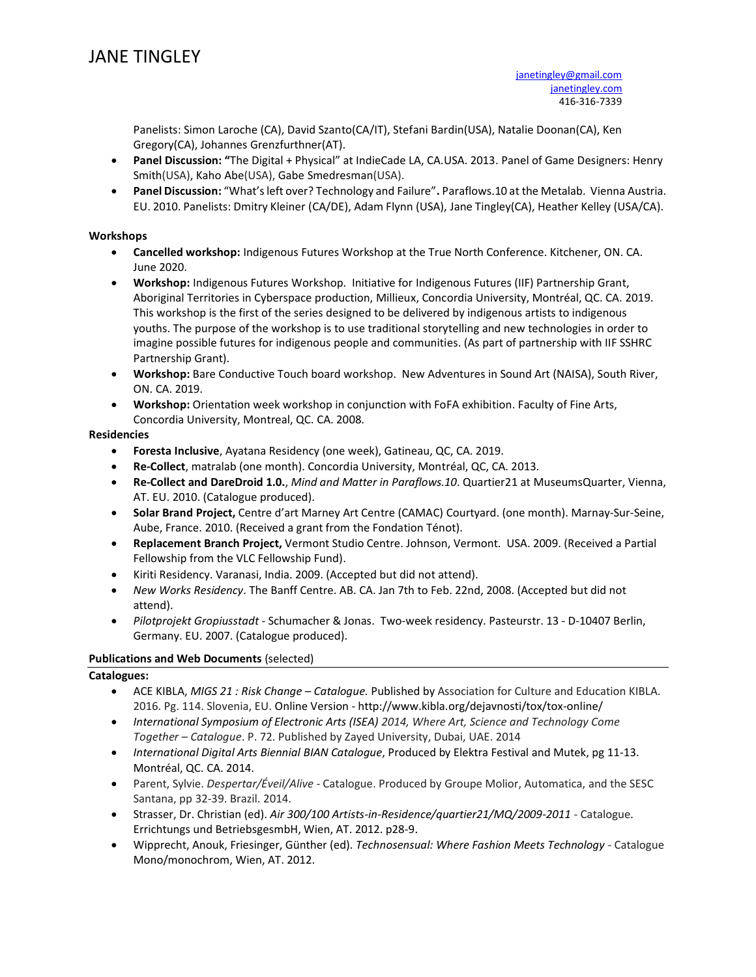Panelists: Simon Laroche (CA), David Szanto(CA/IT), Stefani Bardin(USA), Natalie Doonan(CA), Ken Gregory(CA), Johannes Grenzfurthner(AT).

- **Panel Discussion: "**The Digital + Physical" at IndieCade LA, CA.USA. 2013. Panel of Game Designers: Henry Smith(USA), Kaho Abe(USA), Gabe Smedresman(USA).
- **Panel Discussion:** "What's left over? Technology and Failure"**.** Paraflows.10 at the Metalab. Vienna Austria. EU. 2010. Panelists: Dmitry Kleiner (CA/DE), Adam Flynn (USA), Jane Tingley(CA), Heather Kelley (USA/CA).

### **Workshops**

- **Cancelled workshop:** Indigenous Futures Workshop at the True North Conference. Kitchener, ON. CA. June 2020.
- **Workshop:** Indigenous Futures Workshop. Initiative for Indigenous Futures (IIF) Partnership Grant, Aboriginal Territories in Cyberspace production, Millieux, Concordia University, Montréal, QC. CA. 2019. This workshop is the first of the series designed to be delivered by indigenous artists to indigenous youths. The purpose of the workshop is to use traditional storytelling and new technologies in order to imagine possible futures for indigenous people and communities. (As part of partnership with IIF SSHRC Partnership Grant).
- **Workshop:** Bare Conductive Touch board workshop. New Adventures in Sound Art (NAISA), South River, ON. CA. 2019.
- **Workshop:** Orientation week workshop in conjunction with FoFA exhibition. Faculty of Fine Arts, Concordia University, Montreal, QC. CA. 2008.

## **Residencies**

- **Foresta Inclusive**, Ayatana Residency (one week), Gatineau, QC, CA. 2019.
- **Re-Collect**, matralab (one month). Concordia University, Montréal, QC, CA. 2013.
- **Re-Collect and DareDroid 1.0.**, *Mind and Matter in Paraflows.10*. Quartier21 at MuseumsQuarter, Vienna, AT. EU. 2010. (Catalogue produced).
- **Solar Brand Project,** Centre d'art Marney Art Centre (CAMAC) Courtyard. (one month). Marnay-Sur-Seine, Aube, France. 2010. (Received a grant from the Fondation Ténot).
- **Replacement Branch Project,** Vermont Studio Centre. Johnson, Vermont. USA. 2009. (Received a Partial Fellowship from the VLC Fellowship Fund).
- Kiriti Residency. Varanasi, India. 2009. (Accepted but did not attend).
- *New Works Residency*. The Banff Centre. AB. CA. Jan 7th to Feb. 22nd, 2008. (Accepted but did not attend).
- *Pilotprojekt Gropiusstadt* Schumacher & Jonas. Two-week residency. Pasteurstr. 13 D-10407 Berlin, Germany. EU. 2007. (Catalogue produced).

## **Publications and Web Documents** (selected)

## **Catalogues:**

- ACE KIBLA, *MIGS 21 : Risk Change – Catalogue.* Published by Association for Culture and Education KIBLA. 2016. Pg. 114. Slovenia, EU. Online Version - <http://www.kibla.org/dejavnosti/tox/tox-online/>
- *International Symposium of Electronic Arts (ISEA) 2014, Where Art, Science and Technology Come Together – Catalogue*. P. 72. Published by Zayed University, Dubai, UAE. 2014
- *International Digital Arts Biennial BIAN Catalogue*, Produced by Elektra Festival and Mutek, pg 11-13. Montréal, QC. CA. 2014.
- Parent, Sylvie. *Despertar/Éveil/Alive* Catalogue. Produced by Groupe Molior, Automatica, and the SESC Santana, pp 32-39. Brazil. 2014.
- Strasser, Dr. Christian (ed). *Air 300/100 Artists-in-Residence/quartier21/MQ/2009-2011*  Catalogue*.* Errichtungs und BetriebsgesmbH, Wien, AT. 2012. p28-9.
- Wipprecht, Anouk, Friesinger, Günther (ed). *Technosensual: Where Fashion Meets Technology* Catalogue Mono/monochrom, Wien, AT. 2012.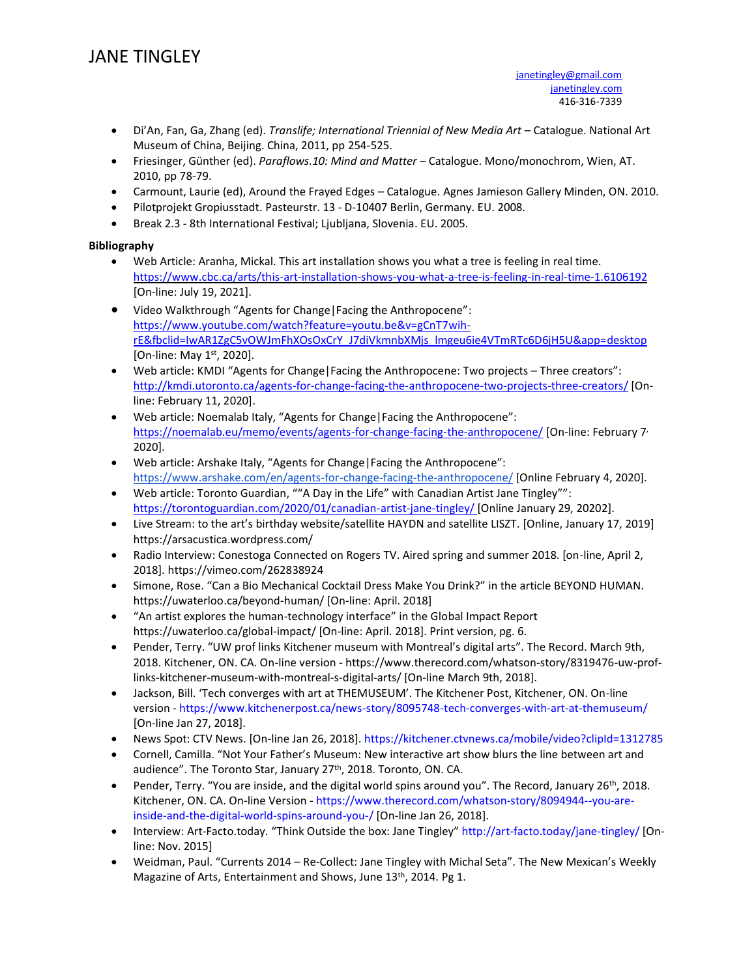- Di'An, Fan, Ga, Zhang (ed). *Translife; International Triennial of New Media Art* Catalogue. National Art Museum of China, Beijing. China, 2011, pp 254-525.
- Friesinger, Günther (ed). *Paraflows.10: Mind and Matter –* Catalogue. Mono/monochrom, Wien, AT. 2010, pp 78-79.
- Carmount, Laurie (ed), Around the Frayed Edges Catalogue. Agnes Jamieson Gallery Minden, ON. 2010.
- Pilotprojekt Gropiusstadt. Pasteurstr. 13 D-10407 Berlin, Germany. EU. 2008.
- Break 2.3 8th International Festival; Ljubljana, Slovenia. EU. 2005.

## **Bibliography**

- Web Article: Aranha, Mickal. This art installation shows you what a tree is feeling in real time. <https://www.cbc.ca/arts/this-art-installation-shows-you-what-a-tree-is-feeling-in-real-time-1.6106192> [On-line: July 19, 2021].
- Video Walkthrough "Agents for Change|Facing the Anthropocene": [https://www.youtube.com/watch?feature=youtu.be&v=gCnT7wih](https://www.youtube.com/watch?feature=youtu.be&v=gCnT7wih-rE&fbclid=IwAR1ZgC5vOWJmFhXOsOxCrY_J7diVkmnbXMjs_lmgeu6ie4VTmRTc6D6jH5U&app=desktop)[rE&fbclid=IwAR1ZgC5vOWJmFhXOsOxCrY\\_J7diVkmnbXMjs\\_lmgeu6ie4VTmRTc6D6jH5U&app=desktop](https://www.youtube.com/watch?feature=youtu.be&v=gCnT7wih-rE&fbclid=IwAR1ZgC5vOWJmFhXOsOxCrY_J7diVkmnbXMjs_lmgeu6ie4VTmRTc6D6jH5U&app=desktop) [On-line: May 1<sup>st</sup>, 2020].
- Web article: KMDI "Agents for Change|Facing the Anthropocene: Two projects Three creators": <http://kmdi.utoronto.ca/agents-for-change-facing-the-anthropocene-two-projects-three-creators/> [Online: February 11, 2020].
- Web article: Noemalab Italy, "Agents for Change|Facing the Anthropocene": <https://noemalab.eu/memo/events/agents-for-change-facing-the-anthropocene/> [On-line: February 7, 2020].
- Web article: Arshake Italy, "Agents for Change|Facing the Anthropocene": <https://www.arshake.com/en/agents-for-change-facing-the-anthropocene/> [Online February 4, 2020].
- Web article: Toronto Guardian, ""A Day in the Life" with Canadian Artist Jane Tingley"": <https://torontoguardian.com/2020/01/canadian-artist-jane-tingley/> [Online January 29, 20202].
- Live Stream: to the art's birthday website/satellite HAYDN and satellite LISZT. [Online, January 17, 2019] <https://arsacustica.wordpress.com/>
- Radio Interview: Conestoga Connected on Rogers TV. Aired spring and summer 2018. [on-line, April 2, 2018]. https://vimeo.com/262838924
- Simone, Rose. "Can a Bio Mechanical Cocktail Dress Make You Drink?" in the article BEYOND HUMAN. https://uwaterloo.ca/beyond-human/ [On-line: April. 2018]
- "An artist explores the human-technology interface" in the Global Impact Report https://uwaterloo.ca/global-impact/ [On-line: April. 2018]. Print version, pg. 6.
- Pender, Terry. "UW prof links Kitchener museum with Montreal's digital arts". The Record. March 9th, 2018. Kitchener, ON. CA. On-line version - [https://www.therecord.com/whatson-story/8319476-uw-prof](https://www.therecord.com/whatson-story/8319476-uw-prof-links-kitchener-museum-with-montreal-s-digital-arts/)[links-kitchener-museum-with-montreal-s-digital-arts/](https://www.therecord.com/whatson-story/8319476-uw-prof-links-kitchener-museum-with-montreal-s-digital-arts/) [On-line March 9th, 2018].
- Jackson, Bill. 'Tech converges with art at THEMUSEUM'. The Kitchener Post, Kitchener, ON. On-line version - <https://www.kitchenerpost.ca/news-story/8095748-tech-converges-with-art-at-themuseum/> [On-line Jan 27, 2018].
- News Spot: CTV News. [On-line Jan 26, 2018].<https://kitchener.ctvnews.ca/mobile/video?clipId=1312785>
- Cornell, Camilla. "Not Your Father's Museum: New interactive art show blurs the line between art and audience". The Toronto Star, January 27<sup>th</sup>, 2018. Toronto, ON. CA.
- Pender, Terry. "You are inside, and the digital world spins around you". The Record, January 26<sup>th</sup>, 2018. Kitchener, ON. CA. On-line Version - [https://www.therecord.com/whatson-story/8094944--you-are](https://www.therecord.com/whatson-story/8094944--you-are-inside-and-the-digital-world-spins-around-you-/)[inside-and-the-digital-world-spins-around-you-/](https://www.therecord.com/whatson-story/8094944--you-are-inside-and-the-digital-world-spins-around-you-/) [On-line Jan 26, 2018].
- Interview: Art-Facto.today. "Think Outside the box: Jane Tingley" <http://art-facto.today/jane-tingley/> [Online: Nov. 2015]
- Weidman, Paul. "Currents 2014 Re-Collect: Jane Tingley with Michal Seta". The New Mexican's Weekly Magazine of Arts, Entertainment and Shows, June 13<sup>th</sup>, 2014. Pg 1.